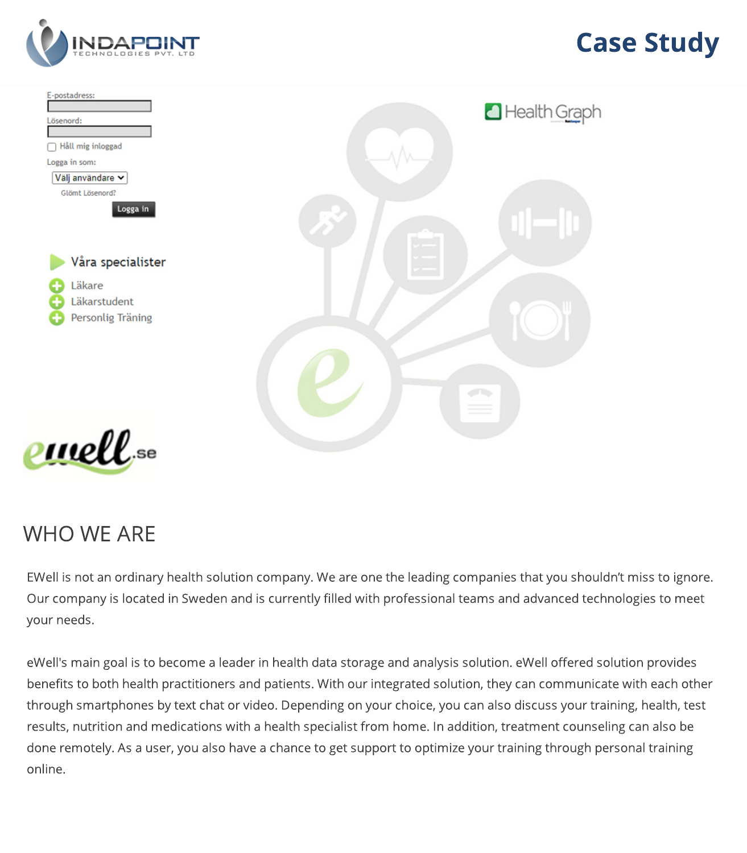

## **Case Study**



## WHO WE ARE

EWell is not an ordinary health solution company. We are one the leading companies that you shouldn't miss to ignore. Our company is located in Sweden and is currently filled with professional teams and advanced technologies to meet your needs.

eWell′s main goal is to become a leader in health data storage and analysis solution. eWell offered solution provides benefits to both health practitioners and patients. With our integrated solution, they can communicate with each other through smartphones by text chat or video. Depending on your choice, you can also discuss your training, health, test results, nutrition and medications with a health specialist from home. In addition, treatment counseling can also be done remotely. As a user, you also have a chance to get support to optimize your training through personal training online.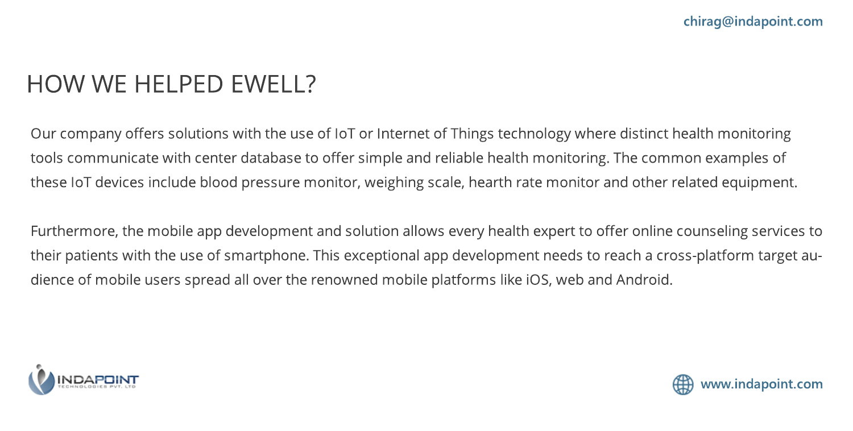## HOW WE HELPED EWELL?

Our company offers solutions with the use of IoT or Internet of Things technology where distinct health monitoring tools communicate with center database to offer simple and reliable health monitoring. The common examples of these IoT devices include blood pressure monitor, weighing scale, hearth rate monitor and other related equipment.

Furthermore, the mobile app development and solution allows every health expert to offer online counseling services to their patients with the use of smartphone. This exceptional app development needs to reach a cross-platform target audience of mobile users spread all over the renowned mobile platforms like iOS, web and Android.